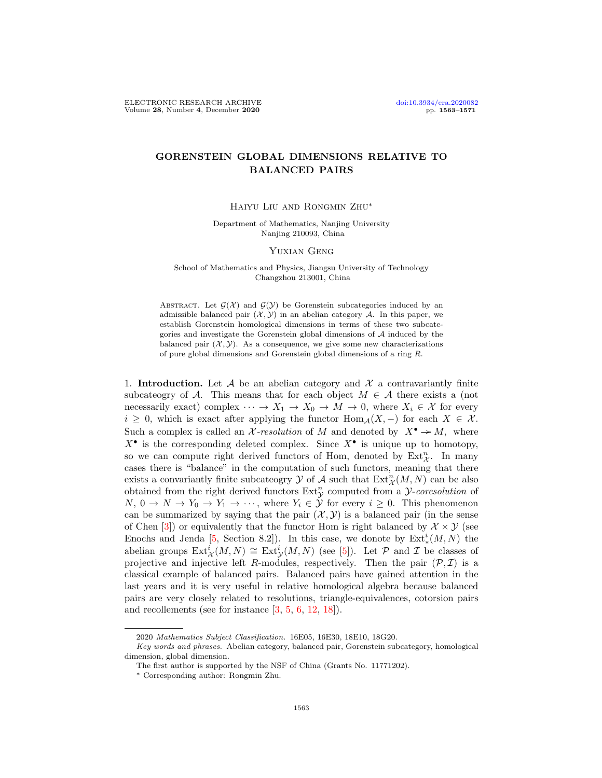## GORENSTEIN GLOBAL DIMENSIONS RELATIVE TO BALANCED PAIRS

Haiyu Liu and Rongmin Zhu∗

Department of Mathematics, Nanjing University Nanjing 210093, China

## YUXIAN GENG

School of Mathematics and Physics, Jiangsu University of Technology Changzhou 213001, China

ABSTRACT. Let  $\mathcal{G}(\mathcal{X})$  and  $\mathcal{G}(\mathcal{Y})$  be Gorenstein subcategories induced by an admissible balanced pair  $(\mathcal{X}, \mathcal{Y})$  in an abelian category A. In this paper, we establish Gorenstein homological dimensions in terms of these two subcategories and investigate the Gorenstein global dimensions of  $A$  induced by the balanced pair  $(\mathcal{X}, \mathcal{Y})$ . As a consequence, we give some new characterizations of pure global dimensions and Gorenstein global dimensions of a ring R.

1. **Introduction.** Let  $\mathcal A$  be an abelian category and  $\mathcal X$  a contravariantly finite subcateogry of A. This means that for each object  $M \in \mathcal{A}$  there exists a (not necessarily exact) complex  $\cdots \rightarrow X_1 \rightarrow X_0 \rightarrow M \rightarrow 0$ , where  $X_i \in \mathcal{X}$  for every  $i \geq 0$ , which is exact after applying the functor  $\text{Hom}_{\mathcal{A}}(X, -)$  for each  $X \in \mathcal{X}$ . Such a complex is called an X-resolution of M and denoted by  $X^{\bullet} \to M$ , where  $X^{\bullet}$  is the corresponding deleted complex. Since  $X^{\bullet}$  is unique up to homotopy, so we can compute right derived functors of Hom, denoted by  $\text{Ext}^n_{\mathcal{X}}$ . In many cases there is "balance" in the computation of such functors, meaning that there exists a convariantly finite subcateogry  $\mathcal Y$  of  $\mathcal A$  such that  $\mathrm{Ext}^n_{\mathcal X}(M,N)$  can be also obtained from the right derived functors  $Ext_{\mathcal{Y}}^{n}$  computed from a *y-coresolution* of  $N, 0 \to N \to Y_0 \to Y_1 \to \cdots$ , where  $Y_i \in \mathcal{Y}$  for every  $i \geq 0$ . This phenomenon can be summarized by saying that the pair  $(\mathcal{X}, \mathcal{Y})$  is a balanced pair (in the sense of Chen [\[3\]](#page-8-0)) or equivalently that the functor Hom is right balanced by  $\mathcal{X} \times \mathcal{Y}$  (see Enochs and Jenda [\[5,](#page-8-1) Section 8.2]). In this case, we donote by  $\text{Ext}^i_*(M, N)$  the abelian groups  $\text{Ext}^i_{\mathcal{X}}(M,N) \cong \text{Ext}^i_{\mathcal{Y}}(M,N)$  (see [\[5\]](#page-8-1)). Let P and I be classes of projective and injective left R-modules, respectively. Then the pair  $(\mathcal{P}, \mathcal{I})$  is a classical example of balanced pairs. Balanced pairs have gained attention in the last years and it is very useful in relative homological algebra because balanced pairs are very closely related to resolutions, triangle-equivalences, cotorsion pairs and recollements (see for instance [\[3,](#page-8-0) [5,](#page-8-1) [6,](#page-8-2) [12,](#page-8-3) [18\]](#page-8-4)).

<sup>2020</sup> Mathematics Subject Classification. 16E05, 16E30, 18E10, 18G20.

Key words and phrases. Abelian category, balanced pair, Gorenstein subcategory, homological dimension, global dimension.

The first author is supported by the NSF of China (Grants No. 11771202).

<sup>∗</sup> Corresponding author: Rongmin Zhu.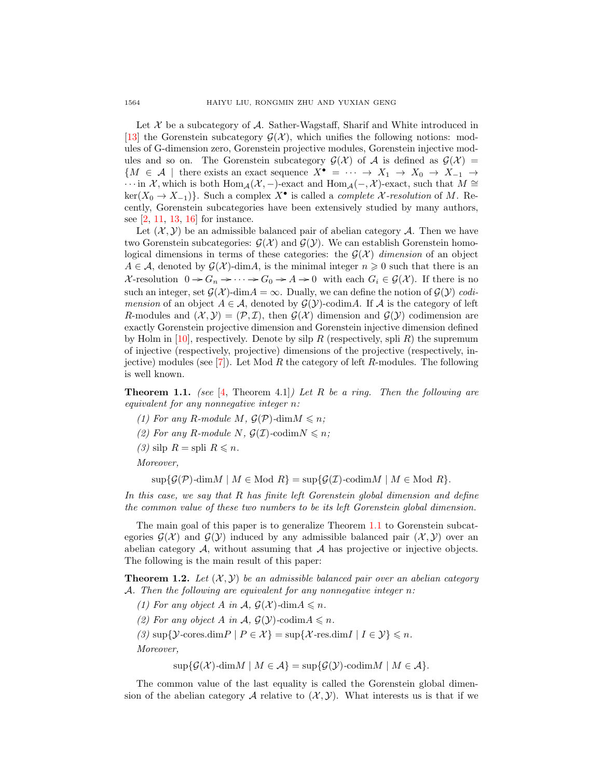Let  $\mathcal X$  be a subcategory of  $\mathcal A$ . Sather-Wagstaff, Sharif and White introduced in [\[13\]](#page-8-5) the Gorenstein subcategory  $\mathcal{G}(\mathcal{X})$ , which unifies the following notions: modules of G-dimension zero, Gorenstein projective modules, Gorenstein injective modules and so on. The Gorenstein subcategory  $\mathcal{G}(\mathcal{X})$  of A is defined as  $\mathcal{G}(\mathcal{X}) =$  ${M \in \mathcal{A}$  | there exists an exact sequence  $X^{\bullet} = \cdots \rightarrow X_1 \rightarrow X_0 \rightarrow X_{-1} \rightarrow$  $\cdots$  in X, which is both Hom<sub>A</sub>(X, −)-exact and Hom<sub>A</sub>(−, X)-exact, such that  $M \cong$  $\ker(X_0 \to X_{-1})$ . Such a complex  $X^{\bullet}$  is called a *complete X-resolution* of M. Recently, Gorenstein subcategories have been extensively studied by many authors, see [\[2,](#page-8-6) [11,](#page-8-7) [13,](#page-8-5) [16\]](#page-8-8) for instance.

Let  $(\mathcal{X}, \mathcal{Y})$  be an admissible balanced pair of abelian category A. Then we have two Gorenstein subcategories:  $\mathcal{G}(\mathcal{X})$  and  $\mathcal{G}(\mathcal{Y})$ . We can establish Gorenstein homological dimensions in terms of these categories: the  $\mathcal{G}(\mathcal{X})$  dimension of an object  $A \in \mathcal{A}$ , denoted by  $\mathcal{G}(\mathcal{X})$ -dim $A$ , is the minimal integer  $n \geq 0$  such that there is an X-resolution  $0 \to G_n \to \cdots \to G_0 \to A \to 0$  with each  $G_i \in \mathcal{G}(\mathcal{X})$ . If there is no such an integer, set  $\mathcal{G}(\mathcal{X})$ -dim $A = \infty$ . Dually, we can define the notion of  $\mathcal{G}(\mathcal{Y})$  codimension of an object  $A \in \mathcal{A}$ , denoted by  $\mathcal{G}(\mathcal{Y})$ -codimA. If  $\mathcal A$  is the category of left R-modules and  $(\mathcal{X}, \mathcal{Y}) = (\mathcal{P}, \mathcal{I})$ , then  $\mathcal{G}(\mathcal{X})$  dimension and  $\mathcal{G}(\mathcal{Y})$  codimension are exactly Gorenstein projective dimension and Gorenstein injective dimension defined by Holm in [\[10\]](#page-8-9), respectively. Denote by silp R (respectively, spli R) the supremum of injective (respectively, projective) dimensions of the projective (respectively, in-jective) modules (see [\[7\]](#page-8-10)). Let Mod R the category of left R-modules. The following is well known.

<span id="page-1-0"></span>**Theorem 1.1.** (see [\[4,](#page-8-11) Theorem 4.1]) Let R be a ring. Then the following are equivalent for any nonnegative integer n:

- (1) For any R-module M,  $\mathcal{G}(\mathcal{P})$ -dim $M \leq n$ ;
- (2) For any R-module N,  $\mathcal{G}(\mathcal{I})$ -codim $N \leq n$ ;
- (3) silp  $R =$  spli  $R \leq n$ .

Moreover,

 $\sup\{\mathcal{G}(\mathcal{P})\text{-dim}M \mid M \in \text{Mod } R\} = \sup\{\mathcal{G}(\mathcal{I})\text{-codim}M \mid M \in \text{Mod } R\}.$ 

In this case, we say that R has finite left Gorenstein global dimension and define the common value of these two numbers to be its left Gorenstein global dimension.

The main goal of this paper is to generalize Theorem [1.1](#page-1-0) to Gorenstein subcategories  $\mathcal{G}(\mathcal{X})$  and  $\mathcal{G}(\mathcal{Y})$  induced by any admissible balanced pair  $(\mathcal{X}, \mathcal{Y})$  over an abelian category  $A$ , without assuming that  $A$  has projective or injective objects. The following is the main result of this paper:

<span id="page-1-1"></span>**Theorem 1.2.** Let  $(X, Y)$  be an admissible balanced pair over an abelian category A. Then the following are equivalent for any nonnegative integer n:

(1) For any object A in  $\mathcal{A}, \mathcal{G}(\mathcal{X})$ -dim $A \leq n$ .

(2) For any object A in A,  $\mathcal{G}(Y)$ -codim $A \leq n$ .

(3)  $\sup\{\mathcal{Y}\text{-cores.dim}P \mid P \in \mathcal{X}\} = \sup\{\mathcal{X}\text{-res.dim}I \mid I \in \mathcal{Y}\}\leqslant n.$ 

Moreover,

 $\sup\{\mathcal{G}(\mathcal{X})\text{-dim}M \mid M \in \mathcal{A}\} = \sup\{\mathcal{G}(\mathcal{Y})\text{-codim}M \mid M \in \mathcal{A}\}.$ 

The common value of the last equality is called the Gorenstein global dimension of the abelian category A relative to  $(\mathcal{X}, \mathcal{Y})$ . What interests us is that if we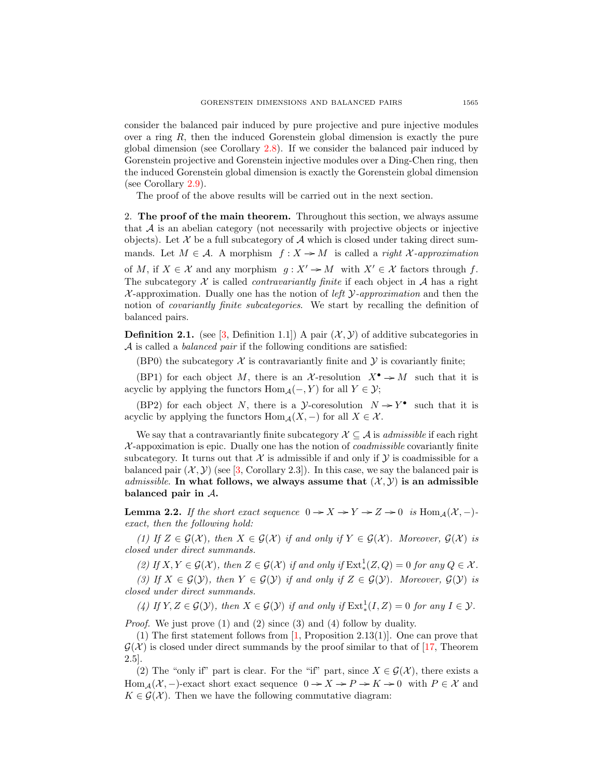consider the balanced pair induced by pure projective and pure injective modules over a ring  $R$ , then the induced Gorenstein global dimension is exactly the pure global dimension (see Corollary [2.8\)](#page-7-0). If we consider the balanced pair induced by Gorenstein projective and Gorenstein injective modules over a Ding-Chen ring, then the induced Gorenstein global dimension is exactly the Gorenstein global dimension (see Corollary [2.9\)](#page-7-1).

The proof of the above results will be carried out in the next section.

2. The proof of the main theorem. Throughout this section, we always assume that  $A$  is an abelian category (not necessarily with projective objects or injective objects). Let  $X$  be a full subcategory of  $A$  which is closed under taking direct summands. Let  $M \in \mathcal{A}$ . A morphism  $f: X \to M$  is called a *right X-approximation* of M, if  $X \in \mathcal{X}$  and any morphism  $g: X' \to M$  with  $X' \in \mathcal{X}$  factors through f. The subcategory X is called *contravariantly finite* if each object in A has a right  $\mathcal{X}$ -approximation. Dually one has the notion of *left*  $\mathcal{Y}$ -approximation and then the notion of *covariantly finite subcategories*. We start by recalling the definition of balanced pairs.

**Definition 2.1.** (see [\[3,](#page-8-0) Definition 1.1]) A pair  $(\mathcal{X}, \mathcal{Y})$  of additive subcategories in  $\mathcal A$  is called a *balanced pair* if the following conditions are satisfied:

(BP0) the subcategory  $\mathcal X$  is contravariantly finite and  $\mathcal Y$  is covariantly finite;

(BP1) for each object M, there is an X-resolution  $X^{\bullet} \to M$  such that it is acyclic by applying the functors  $\text{Hom}_{\mathcal{A}}(-, Y)$  for all  $Y \in \mathcal{Y}$ ;

(BP2) for each object N, there is a y-coresolution  $N \rightarrow Y^{\bullet}$  such that it is acyclic by applying the functors  $\text{Hom}_{\mathcal{A}}(X, -)$  for all  $X \in \mathcal{X}$ .

We say that a contravariantly finite subcategory  $\mathcal{X} \subseteq \mathcal{A}$  is *admissible* if each right  $\mathcal{X}$ -appoximation is epic. Dually one has the notion of *coadmissible* covariantly finite subcategory. It turns out that  $\mathcal X$  is admissible if and only if  $\mathcal Y$  is coadmissible for a balanced pair  $(\mathcal{X}, \mathcal{Y})$  (see [\[3,](#page-8-0) Corollary 2.3]). In this case, we say the balanced pair is *admissible.* In what follows, we always assume that  $(\mathcal{X}, \mathcal{Y})$  is an admissible balanced pair in A.

<span id="page-2-0"></span>**Lemma 2.2.** If the short exact sequence  $0 \rightarrow X \rightarrow Y \rightarrow Z \rightarrow 0$  is  $\text{Hom}_{\mathcal{A}}(\mathcal{X}, -)$ exact, then the following hold:

(1) If  $Z \in \mathcal{G}(\mathcal{X})$ , then  $X \in \mathcal{G}(\mathcal{X})$  if and only if  $Y \in \mathcal{G}(\mathcal{X})$ . Moreover,  $\mathcal{G}(\mathcal{X})$  is closed under direct summands.

(2) If  $X, Y \in \mathcal{G}(\mathcal{X})$ , then  $Z \in \mathcal{G}(\mathcal{X})$  if and only if  $\text{Ext}^1_*(Z, Q) = 0$  for any  $Q \in \mathcal{X}$ .

(3) If  $X \in \mathcal{G}(\mathcal{Y})$ , then  $Y \in \mathcal{G}(\mathcal{Y})$  if and only if  $Z \in \mathcal{G}(\mathcal{Y})$ . Moreover,  $\mathcal{G}(\mathcal{Y})$  is closed under direct summands.

(4) If  $Y, Z \in \mathcal{G}(Y)$ , then  $X \in \mathcal{G}(Y)$  if and only if  $\text{Ext}^1_*(I, Z) = 0$  for any  $I \in \mathcal{Y}$ .

Proof. We just prove (1) and (2) since (3) and (4) follow by duality.

(1) The first statement follows from  $\left[1, \text{Proposition 2.13(1)}\right]$  $\left[1, \text{Proposition 2.13(1)}\right]$  $\left[1, \text{Proposition 2.13(1)}\right]$ . One can prove that  $\mathcal{G}(\mathcal{X})$  is closed under direct summands by the proof similar to that of [\[17,](#page-8-13) Theorem 2.5].

(2) The "only if" part is clear. For the "if" part, since  $X \in \mathcal{G}(\mathcal{X})$ , there exists a Hom  $_A(\mathcal{X},-)$ -exact short exact sequence  $0 \to X \to P \to K \to 0$  with  $P \in \mathcal{X}$  and  $K \in \mathcal{G}(\mathcal{X})$ . Then we have the following commutative diagram: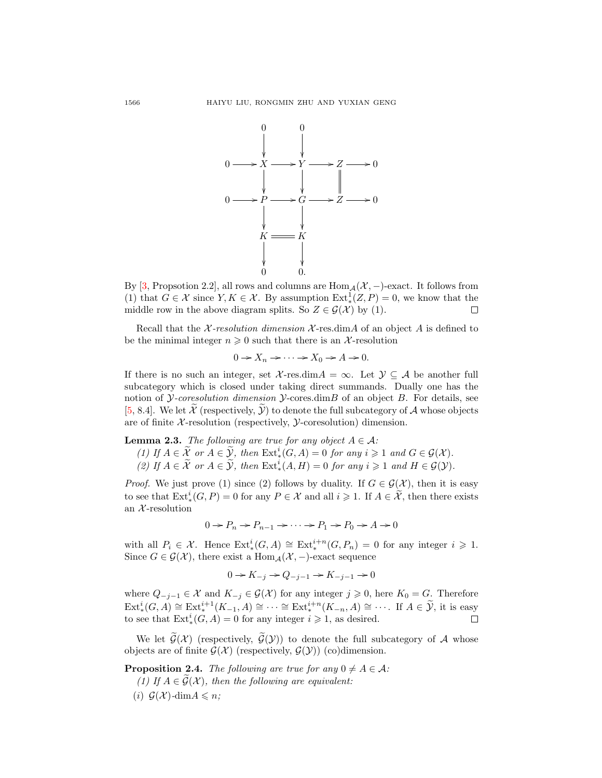

By [\[3,](#page-8-0) Propsotion 2.2], all rows and columns are  $\text{Hom}_{\mathcal{A}}(\mathcal{X},-)$ -exact. It follows from (1) that  $G \in \mathcal{X}$  since  $Y, K \in \mathcal{X}$ . By assumption  $\text{Ext}^1_*(Z, P) = 0$ , we know that the middle row in the above diagram splits. So  $Z \in \mathcal{G}(\mathcal{X})$  by (1). П

Recall that the  $\chi$ -resolution dimension  $\chi$ -res.dimA of an object A is defined to be the minimal integer  $n \geq 0$  such that there is an X-resolution

$$
0 \to X_n \to \cdots \to X_0 \to A \to 0.
$$

If there is no such an integer, set  $\mathcal{X}$ -res.dim $A = \infty$ . Let  $\mathcal{Y} \subseteq \mathcal{A}$  be another full subcategory which is closed under taking direct summands. Dually one has the notion of *Y-coresolution dimension Y-cores.dimB* of an object  $B$ . For details, see [\[5,](#page-8-1) 8.4]. We let  $\mathcal X$  (respectively,  $\mathcal Y$ ) to denote the full subcategory of  $\mathcal A$  whose objects are of finite  $X$ -resolution (respectively,  $Y$ -coresolution) dimension.

<span id="page-3-0"></span>**Lemma 2.3.** The following are true for any object  $A \in \mathcal{A}$ :

(1) If  $A \in \widetilde{X}$  or  $A \in \widetilde{Y}$ , then  $\operatorname{Ext}^i_*(G,A) = 0$  for any  $i \geq 1$  and  $G \in \mathcal{G}(\mathcal{X})$ .

(2) If  $A \in \widetilde{X}$  or  $A \in \widetilde{Y}$ , then  $\mathrm{Ext}^i_*(A, H) = 0$  for any  $i \geq 1$  and  $H \in \mathcal{G}(\mathcal{Y})$ .

*Proof.* We just prove (1) since (2) follows by duality. If  $G \in \mathcal{G}(\mathcal{X})$ , then it is easy to see that  $\text{Ext}_{*}^{i}(G, P) = 0$  for any  $P \in \mathcal{X}$  and all  $i \geqslant 1$ . If  $A \in \widetilde{\mathcal{X}}$ , then there exists an  $X$ -resolution

$$
0 \to P_n \to P_{n-1} \to \cdots \to P_1 \to P_0 \to A \to 0
$$

with all  $P_i \in \mathcal{X}$ . Hence  $\text{Ext}^i_*(G, A) \cong \text{Ext}^{i+n}_*(G, P_n) = 0$  for any integer  $i \geq 1$ . Since  $G \in \mathcal{G}(\mathcal{X})$ , there exist a Hom $_A(\mathcal{X},-)$ -exact sequence

$$
0 \to K_{-j} \to Q_{-j-1} \to K_{-j-1} \to 0
$$

where  $Q_{-j-1} \in \mathcal{X}$  and  $K_{-j} \in \mathcal{G}(\mathcal{X})$  for any integer  $j \geqslant 0$ , here  $K_0 = G$ . Therefore  $\text{Ext}_{*}^{i}(G, A) \cong \text{Ext}_{*}^{i+1}(K_{-1}, A) \cong \cdots \cong \text{Ext}_{*}^{i+n}(K_{-n}, A) \cong \cdots$ . If  $A \in \widetilde{\mathcal{Y}}$ , it is easy to see that  $\text{Ext}_{*}^{i}(G, A) = 0$  for any integer  $i \geq 1$ , as desired.

We let  $\widetilde{\mathcal{G}}(\mathcal{X})$  (respectively,  $\widetilde{\mathcal{G}}(\mathcal{Y})$ ) to denote the full subcategory of A whose objects are of finite  $\mathcal{G}(\mathcal{X})$  (respectively,  $\mathcal{G}(\mathcal{Y})$ ) (co)dimension.

<span id="page-3-1"></span>**Proposition 2.4.** The following are true for any  $0 \neq A \in \mathcal{A}$ : (1) If  $A \in \mathcal{G}(\mathcal{X})$ , then the following are equivalent: (i)  $G(\mathcal{X})$ -dim $A \leq n$ ;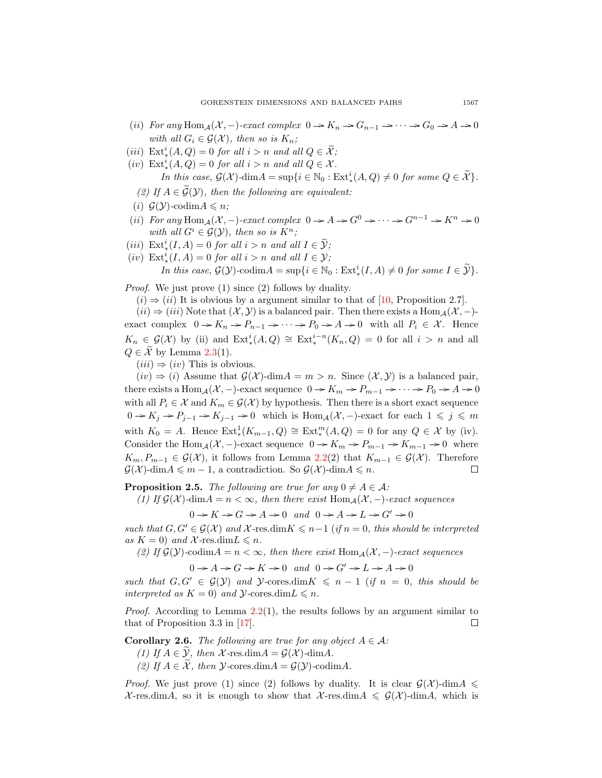- (ii) For any  $\text{Hom}_{\mathcal{A}}(\mathcal{X},-)$ -exact complex  $0 \to K_n \to G_{n-1} \to \cdots \to G_0 \to A \to 0$ with all  $G_i \in \mathcal{G}(\mathcal{X})$ , then so is  $K_n$ ;
- (*iii*)  $\text{Ext}_{*}^{i}(A, Q) = 0$  for all  $i > n$  and all  $Q \in \widetilde{\mathcal{X}}$ ;
- (iv)  $\text{Ext}_{*}^{i}(A, Q) = 0$  for all  $i > n$  and all  $Q \in \mathcal{X}$ . In this case,  $\mathcal{G}(\mathcal{X})$ -dim $A = \sup\{i \in \mathbb{N}_0 : \mathrm{Ext}^i_*(A, Q) \neq 0 \text{ for some } Q \in \widetilde{\mathcal{X}}\}.$ 
	- (2) If  $A \in \mathcal{G}(\mathcal{Y})$ , then the following are equivalent:
- (i)  $\mathcal{G}(\mathcal{Y})$ -codim $A \leq n$ ;
- (ii) For any Hom<sub>A</sub>( $\mathcal{X}, -$ )-exact complex  $0 \to A \to G^0 \to \cdots \to G^{n-1} \to K^n \to 0$ with all  $G^i \in \mathcal{G}(\mathcal{Y})$ , then so is  $K^n$ ;
- (iii)  $\text{Ext}_{*}^{i}(I, A) = 0$  for all  $i > n$  and all  $I \in \widetilde{\mathcal{Y}}$ ;
- (iv)  $\text{Ext}_{*}^{i}(I, A) = 0$  for all  $i > n$  and all  $I \in \mathcal{Y}$ ;

In this case,  $\mathcal{G}(\mathcal{Y})$ -codim $A = \sup\{i \in \mathbb{N}_0 : \text{Ext}_*^i(I, A) \neq 0 \text{ for some } I \in \widetilde{\mathcal{Y}}\}.$ 

Proof. We just prove (1) since (2) follows by duality.

 $(i) \Rightarrow (ii)$  It is obvious by a argument similar to that of [\[10,](#page-8-9) Proposition 2.7].

 $(ii) \Rightarrow (iii)$  Note that  $(X, Y)$  is a balanced pair. Then there exists a Hom  $_A(X, -)$ exact complex  $0 \to K_n \to P_{n-1} \to \cdots \to P_0 \to A \to 0$  with all  $P_i \in \mathcal{X}$ . Hence  $K_n \in \mathcal{G}(\mathcal{X})$  by (ii) and  $\text{Ext}^i_*(A, Q) \cong \text{Ext}^{i-n}_*(K_n, Q) = 0$  for all  $i > n$  and all  $Q \in \mathcal{X}$  by Lemma [2.3\(](#page-3-0)1).

 $(iii) \Rightarrow (iv)$  This is obvious.

 $(iv) \Rightarrow (i)$  Assume that  $\mathcal{G}(\mathcal{X})$ -dim $A = m > n$ . Since  $(\mathcal{X}, \mathcal{Y})$  is a balanced pair, there exists a Hom<sub>A</sub>( $\mathcal{X}$ , -)-exact sequence  $0 \to K_m \to P_{m-1} \to \cdots \to P_0 \to A \to 0$ with all  $P_i \in \mathcal{X}$  and  $K_m \in \mathcal{G}(\mathcal{X})$  by hypothesis. Then there is a short exact sequence  $0 \to K_j \to P_{j-1} \to K_{j-1} \to 0$  which is  $\text{Hom}_{\mathcal{A}}(\mathcal{X},-)$ -exact for each  $1 \leq j \leq m$ with  $K_0 = A$ . Hence  $\text{Ext}^1_*(K_{m-1}, Q) \cong \text{Ext}^m_*(A, Q) = 0$  for any  $Q \in \mathcal{X}$  by (iv). Consider the Hom<sub>A</sub>( $\chi$ , -)-exact sequence  $0 \to K_m \to P_{m-1} \to K_{m-1} \to 0$  where  $K_m, P_{m-1} \in \mathcal{G}(\mathcal{X})$ , it follows from Lemma [2.2\(](#page-2-0)2) that  $K_{m-1} \in \mathcal{G}(\mathcal{X})$ . Therefore  $\mathcal{G}(\mathcal{X})$ -dim $A \leq m-1$ , a contradiction. So  $\mathcal{G}(\mathcal{X})$ -dim $A \leq n$ .  $\Box$ 

<span id="page-4-0"></span>**Proposition 2.5.** The following are true for any  $0 \neq A \in \mathcal{A}$ :

(1) If  $\mathcal{G}(\mathcal{X})$ -dim $A = n < \infty$ , then there exist Hom $_A(\mathcal{X},-)$ -exact sequences

 $0 \rightarrow K \rightarrow G \rightarrow A \rightarrow 0$  and  $0 \rightarrow A \rightarrow L \rightarrow G' \rightarrow 0$ 

such that  $G, G' \in \mathcal{G}(\mathcal{X})$  and  $\mathcal{X}$ -res.dim $K \leq n-1$  (if  $n = 0$ , this should be interpreted as  $K = 0$ ) and X-res.dim $L \le n$ .

(2) If  $\mathcal{G}(\mathcal{Y})$ -codim $A = n < \infty$ , then there exist  $\text{Hom}_{\mathcal{A}}(\mathcal{X},-)$ -exact sequences

 $0 \rightarrow A \rightarrow G \rightarrow K \rightarrow 0$  and  $0 \rightarrow G' \rightarrow L \rightarrow A \rightarrow 0$ 

such that  $G, G' \in \mathcal{G}(\mathcal{Y})$  and  $\mathcal{Y}$ -cores.dim $K \leq n-1$  (if  $n = 0$ , this should be interpreted as  $K = 0$ ) and  $\mathcal{Y}$ -cores.dim $L \leq n$ .

*Proof.* According to Lemma  $2.2(1)$  $2.2(1)$ , the results follows by an argument similar to that of Proposition 3.3 in [\[17\]](#page-8-13). П

<span id="page-4-1"></span>**Corollary 2.6.** The following are true for any object  $A \in \mathcal{A}$ :

- (1) If  $A \in \mathcal{Y}$ , then X-res.dim $A = \mathcal{G}(\mathcal{X})$ -dim $A$ .
- (2) If  $A \in \tilde{\mathcal{X}}$ , then  $\mathcal{Y}\text{-cores.dim}A = \mathcal{G}(\mathcal{Y})\text{-codim}A$ .

*Proof.* We just prove (1) since (2) follows by duality. It is clear  $G(\mathcal{X})$ -dim $A \leq$  $\mathcal{X}$ -res.dimA, so it is enough to show that  $\mathcal{X}$ -res.dimA  $\leq \mathcal{G}(\mathcal{X})$ -dimA, which is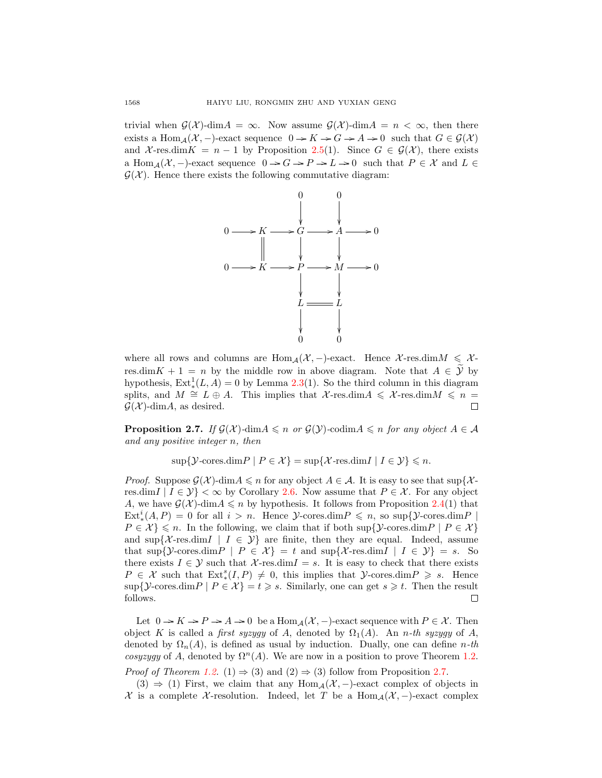trivial when  $\mathcal{G}(\mathcal{X})$ -dim $A = \infty$ . Now assume  $\mathcal{G}(\mathcal{X})$ -dim $A = n < \infty$ , then there exists a Hom<sub>A</sub>( $\mathcal{X}, -$ )-exact sequence  $0 \to K \to G \to A \to 0$  such that  $G \in \mathcal{G}(\mathcal{X})$ and X-res.dim K = n - 1 by Proposition [2.5\(](#page-4-0)1). Since  $G \in \mathcal{G}(\mathcal{X})$ , there exists a Hom<sub>A</sub>( $\mathcal{X}, -$ )-exact sequence  $0 \to G \to P \to L \to 0$  such that  $P \in \mathcal{X}$  and  $L \in$  $\mathcal{G}(\mathcal{X})$ . Hence there exists the following commutative diagram:



where all rows and columns are  $\text{Hom}_{\mathcal{A}}(\mathcal{X},-)$ -exact. Hence X-res.dim $M \leq \mathcal{X}$ res.dim K + 1 = n by the middle row in above diagram. Note that  $A \in \mathcal{Y}$  by hypothesis,  $\text{Ext}^1_*(L, A) = 0$  by Lemma [2.3\(](#page-3-0)1). So the third column in this diagram splits, and  $M \cong L \oplus A$ . This implies that  $\mathcal{X}$ -res.dim $A \leq \mathcal{X}$ -res.dim $M \leq n =$  $\mathcal{G}(\mathcal{X})$ -dim $A$ , as desired. П

<span id="page-5-0"></span>**Proposition 2.7.** If  $\mathcal{G}(\mathcal{X})$ -dim $A \leq n$  or  $\mathcal{G}(\mathcal{Y})$ -codim $A \leq n$  for any object  $A \in \mathcal{A}$ and any positive integer n, then

 $\sup\{\mathcal{Y}\text{-cores.dim}P \mid P \in \mathcal{X}\} = \sup\{\mathcal{X}\text{-res.dim}I \mid I \in \mathcal{Y}\}\leqslant n.$ 

*Proof.* Suppose  $\mathcal{G}(\mathcal{X})$ -dim $A \leq n$  for any object  $A \in \mathcal{A}$ . It is easy to see that sup{ $\mathcal{X}$ res.dim  $|I \in \mathcal{Y}| < \infty$  by Corollary [2.6.](#page-4-1) Now assume that  $P \in \mathcal{X}$ . For any object A, we have  $\mathcal{G}(\mathcal{X})$ -dim $A \leq n$  by hypothesis. It follows from Proposition [2.4\(](#page-3-1)1) that  $\text{Ext}_{*}^{i}(A, P) = 0$  for all  $i > n$ . Hence  $\mathcal{Y}\text{-cores.dim}\,P \leq n$ , so  $\sup\{\mathcal{Y}\text{-cores.dim}\,P \mid$  $P \in \mathcal{X} \leq n$ . In the following, we claim that if both sup{ $\mathcal{Y}$ -cores.dim $P \mid P \in \mathcal{X}$ } and  $\sup\{\mathcal{X}-\text{res.dim}\,I \mid I \in \mathcal{Y}\}\$  are finite, then they are equal. Indeed, assume that sup{ $\mathcal{Y}$ -cores.dim $P \mid P \in \mathcal{X}$ } = t and sup{ $\mathcal{X}$ -res.dim $I \mid I \in \mathcal{Y}$ } = s. So there exists  $I \in \mathcal{Y}$  such that  $\mathcal{X}$ -res.dim $I = s$ . It is easy to check that there exists  $P \in \mathcal{X}$  such that  $\text{Ext}^s_*(I, P) \neq 0$ , this implies that  $\mathcal{Y}\text{-cores.dim}\, P \geq s$ . Hence  $\sup\{\mathcal{Y}\text{-cores.dim}P \mid P \in \mathcal{X}\} = t \geq s$ . Similarly, one can get  $s \geq t$ . Then the result follows.  $\Box$ 

Let  $0 \to K \to P \to A \to 0$  be a  $\text{Hom}_{\mathcal{A}}(\mathcal{X}, -)$ -exact sequence with  $P \in \mathcal{X}$ . Then object K is called a first syzyqy of A, denoted by  $\Omega_1(A)$ . An n-th syzyqy of A, denoted by  $\Omega_n(A)$ , is defined as usual by induction. Dually, one can define n-th cosyzygy of A, denoted by  $\Omega^n(A)$ . We are now in a position to prove Theorem [1.2.](#page-1-1)

*Proof of Theorem [1.2.](#page-1-1)* (1)  $\Rightarrow$  (3) and (2)  $\Rightarrow$  (3) follow from Proposition [2.7.](#page-5-0)

(3)  $\Rightarrow$  (1) First, we claim that any Hom<sub>A</sub>( $\mathcal{X}$ , -)-exact complex of objects in  $\mathcal X$  is a complete X-resolution. Indeed, let T be a Hom<sub>A</sub>( $\mathcal X$ , -)-exact complex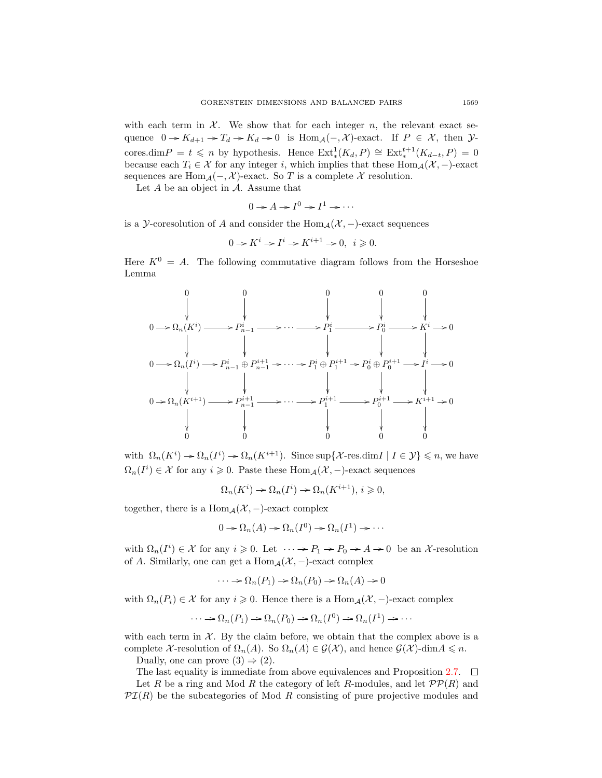with each term in  $\mathcal{X}$ . We show that for each integer n, the relevant exact sequence  $0 \to K_{d+1} \to T_d \to K_d \to 0$  is  $\text{Hom}_{\mathcal{A}}(-, \mathcal{X})$ -exact. If  $P \in \mathcal{X}$ , then  $\mathcal{Y}$ cores.dim  $P = t \leq n$  by hypothesis. Hence  $\text{Ext}^1_*(K_d, P) \cong \text{Ext}^{t+1}_*(K_{d-t}, P) = 0$ because each  $T_i \in \mathcal{X}$  for any integer i, which implies that these Hom<sub>A</sub>( $\mathcal{X}, -$ )-exact sequences are Hom  $_A(-, \mathcal{X})$ -exact. So T is a complete X resolution.

Let  $A$  be an object in  $A$ . Assume that

$$
0 \to A \to I^0 \to I^1 \to \cdots
$$

is a Y-coresolution of A and consider the  $\text{Hom}_{\mathcal{A}}(\mathcal{X},-)$ -exact sequences

$$
0 \to K^i \to I^i \to K^{i+1} \to 0, \ i \geq 0.
$$

Here  $K^0 = A$ . The following commutative diagram follows from the Horseshoe Lemma



with  $\Omega_n(K^i) \to \Omega_n(I^i) \to \Omega_n(K^{i+1})$ . Since sup {X-res.dim*I* | *I*  $\in \mathcal{Y}$ }  $\leq n$ , we have  $\Omega_n(I^i) \in \mathcal{X}$  for any  $i \geq 0$ . Paste these  $\text{Hom}_{\mathcal{A}}(\mathcal{X},-)$ -exact sequences

$$
\Omega_n(K^i) \to \Omega_n(I^i) \to \Omega_n(K^{i+1}), i \geq 0,
$$

together, there is a Hom<sub>A</sub> $(\mathcal{X},-)$ -exact complex

$$
0 \to \Omega_n(A) \to \Omega_n(I^0) \to \Omega_n(I^1) \to \cdots
$$

with  $\Omega_n(I^i) \in \mathcal{X}$  for any  $i \geq 0$ . Let  $\cdots \to P_1 \to P_0 \to A \to 0$  be an X-resolution of A. Similarly, one can get a  $\text{Hom}_{\mathcal{A}}(\mathcal{X},-)$ -exact complex

$$
\cdots \to \Omega_n(P_1) \to \Omega_n(P_0) \to \Omega_n(A) \to 0
$$

with  $\Omega_n(P_i) \in \mathcal{X}$  for any  $i \geq 0$ . Hence there is a  $\text{Hom}_{\mathcal{A}}(\mathcal{X},-)$ -exact complex

$$
\cdots \to \Omega_n(P_1) \to \Omega_n(P_0) \to \Omega_n(I^0) \to \Omega_n(I^1) \to \cdots
$$

with each term in  $X$ . By the claim before, we obtain that the complex above is a complete X-resolution of  $\Omega_n(A)$ . So  $\Omega_n(A) \in \mathcal{G}(\mathcal{X})$ , and hence  $\mathcal{G}(\mathcal{X})$ -dim $A \leq n$ .

Dually, one can prove  $(3) \Rightarrow (2)$ .

The last equality is immediate from above equivalences and Proposition [2.7.](#page-5-0)  $\Box$ Let R be a ring and Mod R the category of left R-modules, and let  $\mathcal{PP}(R)$  and  $\mathcal{PI}(R)$  be the subcategories of Mod R consisting of pure projective modules and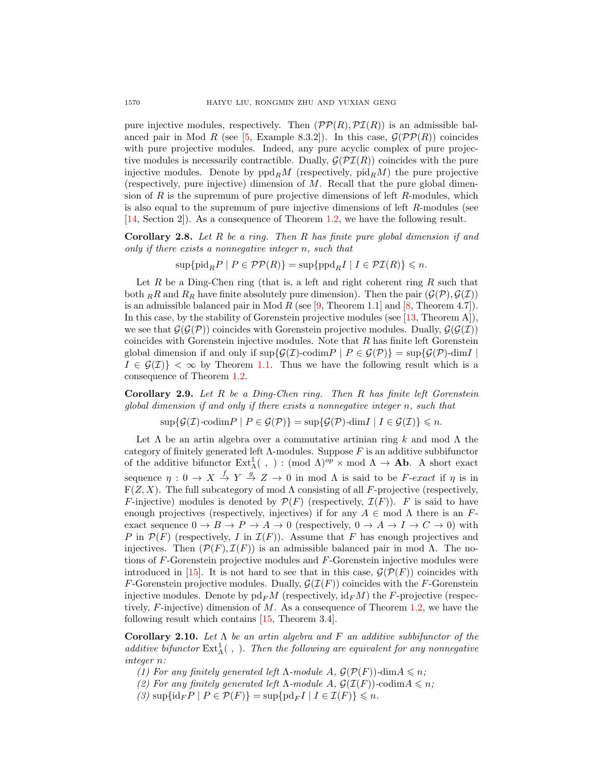pure injective modules, respectively. Then  $(\mathcal{PP}(R), \mathcal{PI}(R))$  is an admissible bal-anced pair in Mod R (see [\[5,](#page-8-1) Example 8.3.2]). In this case,  $\mathcal{G}(P\mathcal{P}(R))$  coincides with pure projective modules. Indeed, any pure acyclic complex of pure projective modules is necessarily contractible. Dually,  $\mathcal{G}(\mathcal{PI}(R))$  coincides with the pure injective modules. Denote by  $ppd_RM$  (respectively,  $pid_RM$ ) the pure projective (respectively, pure injective) dimension of M. Recall that the pure global dimension of R is the supremum of pure projective dimensions of left  $R$ -modules, which is also equal to the supremum of pure injective dimensions of left R-modules (see [\[14,](#page-8-14) Section 2]). As a consequence of Theorem [1.2,](#page-1-1) we have the following result.

<span id="page-7-0"></span>Corollary 2.8. Let R be a ring. Then R has finite pure global dimension if and only if there exists a nonnegative integer n, such that

$$
\sup \{ {\rm pid}_R P \mid P \in \mathcal{PP}(R) \} = \sup \{ {\rm ppd}_R I \mid I \in \mathcal{PI}(R) \} \leqslant n.
$$

Let  $R$  be a Ding-Chen ring (that is, a left and right coherent ring  $R$  such that both RR and  $R_R$  have finite absolutely pure dimension). Then the pair  $(\mathcal{G}(\mathcal{P}), \mathcal{G}(\mathcal{I}))$ is an admissible balanced pair in Mod  $R$  (see [\[9,](#page-8-15) Theorem 1.1] and [\[8,](#page-8-16) Theorem 4.7]). In this case, by the stability of Gorenstein projective modules (see [\[13,](#page-8-5) Theorem A]), we see that  $\mathcal{G}(\mathcal{G}(\mathcal{P}))$  coincides with Gorenstein projective modules. Dually,  $\mathcal{G}(\mathcal{G}(\mathcal{I}))$ coincides with Gorenstein injective modules. Note that  $R$  has finite left Gorenstein global dimension if and only if  $\sup\{\mathcal{G}(\mathcal{I})\text{-codim}P \mid P \in \mathcal{G}(\mathcal{P})\} = \sup\{\mathcal{G}(\mathcal{P})\text{-dim}I \mid$  $I \in \mathcal{G}(\mathcal{I})$  <  $\infty$  by Theorem [1.1.](#page-1-0) Thus we have the following result which is a consequence of Theorem [1.2.](#page-1-1)

<span id="page-7-1"></span>**Corollary 2.9.** Let  $R$  be a Ding-Chen ring. Then  $R$  has finite left Gorenstein global dimension if and only if there exists a nonnegative integer n, such that

 $\sup\{\mathcal{G}(\mathcal{I})\text{-codim}P \mid P\in\mathcal{G}(\mathcal{P})\} = \sup\{\mathcal{G}(\mathcal{P})\text{-dim}I \mid I\in\mathcal{G}(\mathcal{I})\} \leqslant n.$ 

Let  $\Lambda$  be an artin algebra over a commutative artinian ring k and mod  $\Lambda$  the category of finitely generated left  $\Lambda$ -modules. Suppose  $F$  is an additive subbifunctor of the additive bifunctor  $\text{Ext}^1_{\Lambda}(\ ,\ ) : (\text{mod }\Lambda)^{op} \times \text{mod }\Lambda \to \text{Ab}.$  A short exact sequence  $\eta: 0 \to X \stackrel{f}{\to} Y \stackrel{g}{\to} Z \to 0$  in mod  $\Lambda$  is said to be F-exact if  $\eta$  is in  $F(Z, X)$ . The full subcategory of mod  $\Lambda$  consisting of all F-projective (respectively, F-injective) modules is denoted by  $\mathcal{P}(F)$  (respectively,  $\mathcal{I}(F)$ ). F is said to have enough projectives (respectively, injectives) if for any  $A \in \text{mod }\Lambda$  there is an Fexact sequence  $0 \to B \to P \to A \to 0$  (respectively,  $0 \to A \to I \to C \to 0$ ) with P in  $\mathcal{P}(F)$  (respectively, I in  $\mathcal{I}(F)$ ). Assume that F has enough projectives and injectives. Then  $(\mathcal{P}(F), \mathcal{I}(F))$  is an admissible balanced pair in mod  $\Lambda$ . The notions of F-Gorenstein projective modules and F-Gorenstein injective modules were introduced in [\[15\]](#page-8-17). It is not hard to see that in this case,  $\mathcal{G}(\mathcal{P}(F))$  coincides with F-Gorenstein projective modules. Dually,  $\mathcal{G}(\mathcal{I}(F))$  coincides with the F-Gorenstein injective modules. Denote by  $p d_F M$  (respectively,  $i d_F M$ ) the F-projective (respectively,  $F$ -injective) dimension of  $M$ . As a consequence of Theorem [1.2,](#page-1-1) we have the following result which contains [\[15,](#page-8-17) Theorem 3.4].

Corollary 2.10. Let  $\Lambda$  be an artin algebra and F an additive subbifunctor of the additive bifunctor  $\text{Ext}_{\Lambda}^{1}($ , ). Then the following are equivalent for any nonnegative integer n:

- (1) For any finitely generated left  $\Lambda$ -module  $A, \mathcal{G}(\mathcal{P}(F))$ -dim $A \leq n$ ;
- (2) For any finitely generated left  $\Lambda$ -module  $A, \mathcal{G}(\mathcal{I}(F))$ -codim $A \leq n$ ;
- $(3)$  sup $\{id_F P \mid P \in \mathcal{P}(F)\} = \sup \{pd_F I \mid I \in \mathcal{I}(F)\} \leq n.$